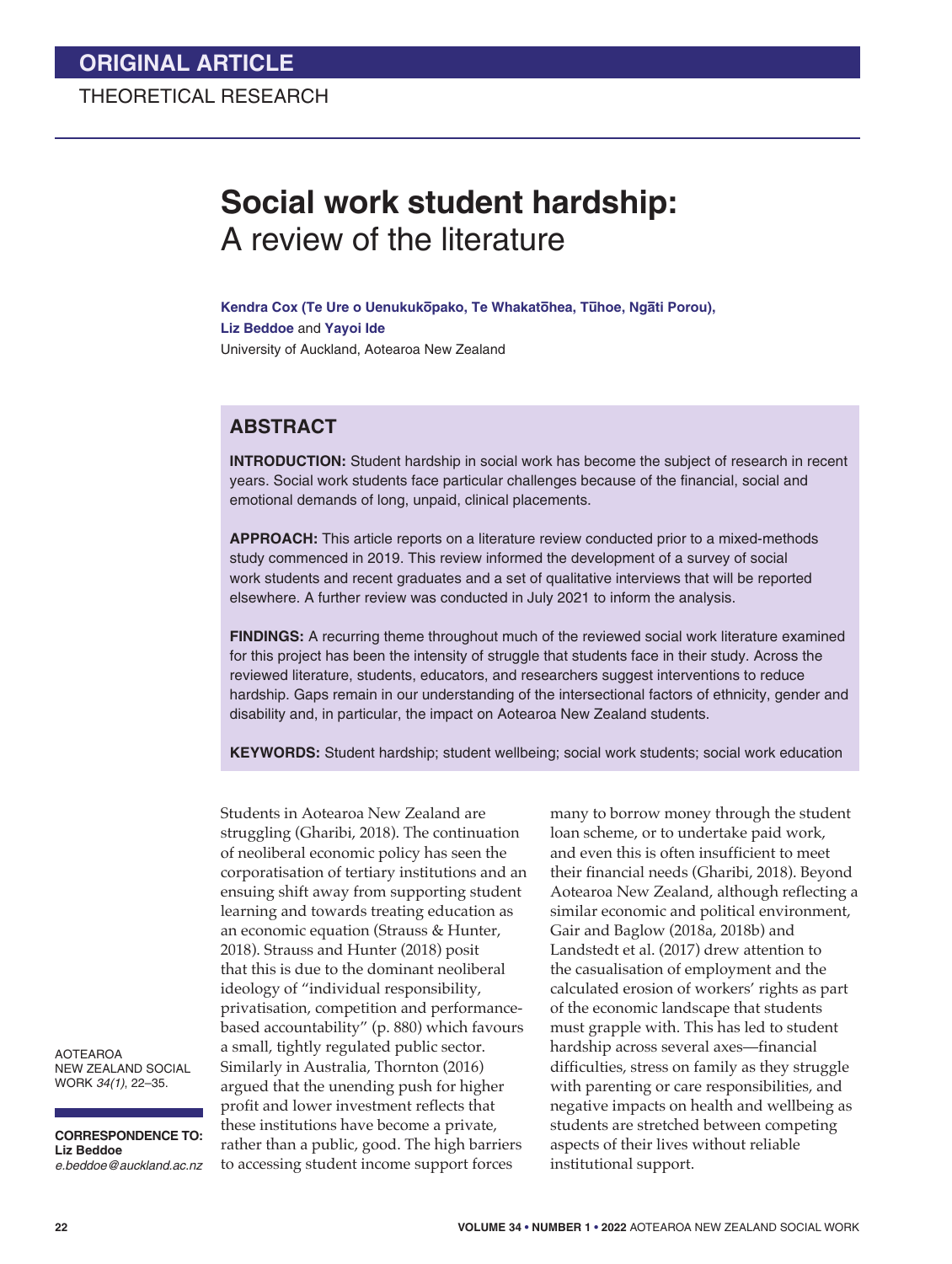# **Social work student hardship:** A review of the literature

Kendra Cox (Te Ure o Uenukukōpako, Te Whakatōhea, Tūhoe, Ngāti Porou), **Liz Beddoe** and **Yayoi Ide**  University of Auckland, Aotearoa New Zealand

## **ABSTRACT**

**INTRODUCTION:** Student hardship in social work has become the subject of research in recent years. Social work students face particular challenges because of the financial, social and emotional demands of long, unpaid, clinical placements.

**APPROACH:** This article reports on a literature review conducted prior to a mixed-methods study commenced in 2019. This review informed the development of a survey of social work students and recent graduates and a set of qualitative interviews that will be reported elsewhere. A further review was conducted in July 2021 to inform the analysis.

**FINDINGS:** A recurring theme throughout much of the reviewed social work literature examined for this project has been the intensity of struggle that students face in their study. Across the reviewed literature, students, educators, and researchers suggest interventions to reduce hardship. Gaps remain in our understanding of the intersectional factors of ethnicity, gender and disability and, in particular, the impact on Aotearoa New Zealand students.

**KEYWORDS:** Student hardship; student wellbeing; social work students; social work education

Students in Aotearoa New Zealand are struggling (Gharibi, 2018). The continuation of neoliberal economic policy has seen the corporatisation of tertiary institutions and an ensuing shift away from supporting student learning and towards treating education as an economic equation (Strauss & Hunter, 2018). Strauss and Hunter (2018) posit that this is due to the dominant neoliberal ideology of "individual responsibility, privatisation, competition and performancebased accountability" (p. 880) which favours a small, tightly regulated public sector. Similarly in Australia, Thornton (2016) argued that the unending push for higher profit and lower investment reflects that these institutions have become a private, rather than a public, good. The high barriers to accessing student income support forces

many to borrow money through the student loan scheme, or to undertake paid work, and even this is often insufficient to meet their financial needs (Gharibi, 2018). Beyond Aotearoa New Zealand, although reflecting a similar economic and political environment, Gair and Baglow (2018a, 2018b) and Landstedt et al. (2017) drew attention to the casualisation of employment and the calculated erosion of workers' rights as part of the economic landscape that students must grapple with. This has led to student hardship across several axes—financial difficulties, stress on family as they struggle with parenting or care responsibilities, and negative impacts on health and wellbeing as students are stretched between competing aspects of their lives without reliable institutional support.

AOTEAROA NEW ZEALAND SOCIAL WORK *34(1)*, 22–35.

**CORRESPONDENCE TO: Liz Beddoe** *e.beddoe@auckland.ac.nz*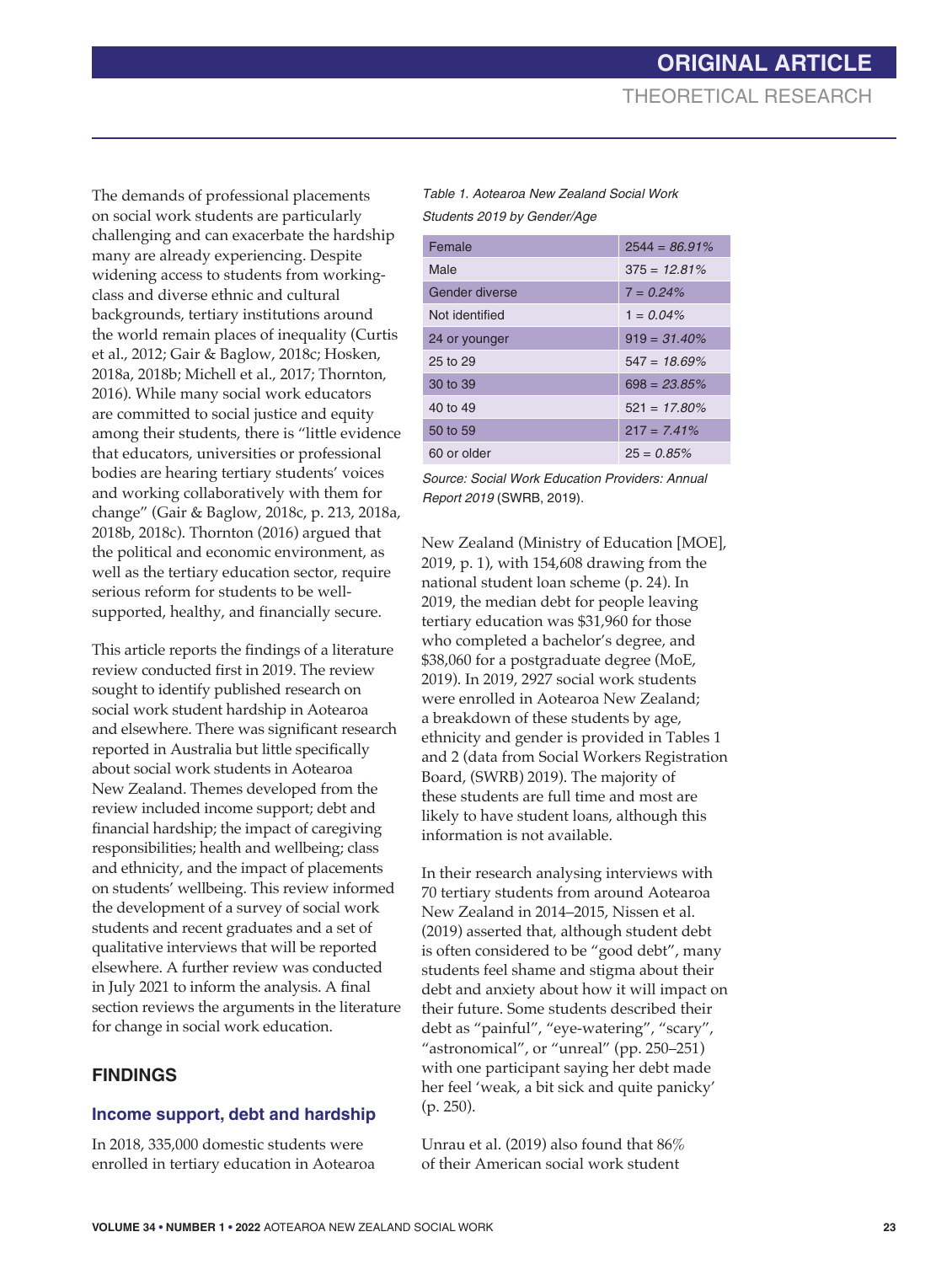The demands of professional placements on social work students are particularly challenging and can exacerbate the hardship many are already experiencing. Despite widening access to students from workingclass and diverse ethnic and cultural backgrounds, tertiary institutions around the world remain places of inequality (Curtis et al., 2012; Gair & Baglow, 2018c; Hosken, 2018a, 2018b; Michell et al., 2017; Thornton, 2016). While many social work educators are committed to social justice and equity among their students, there is "little evidence that educators, universities or professional bodies are hearing tertiary students' voices and working collaboratively with them for change" (Gair & Baglow, 2018c, p. 213, 2018a, 2018b, 2018c). Thornton (2016) argued that the political and economic environment, as well as the tertiary education sector, require serious reform for students to be wellsupported, healthy, and financially secure.

This article reports the findings of a literature review conducted first in 2019. The review sought to identify published research on social work student hardship in Aotearoa and elsewhere. There was significant research reported in Australia but little specifically about social work students in Aotearoa New Zealand. Themes developed from the review included income support; debt and financial hardship; the impact of caregiving responsibilities; health and wellbeing; class and ethnicity, and the impact of placements on students' wellbeing. This review informed the development of a survey of social work students and recent graduates and a set of qualitative interviews that will be reported elsewhere. A further review was conducted in July 2021 to inform the analysis. A final section reviews the arguments in the literature for change in social work education.

## **FINDINGS**

### **Income support, debt and hardship**

In 2018, 335,000 domestic students were enrolled in tertiary education in Aotearoa

*Table 1. Aotearoa New Zealand Social Work Students 2019 by Gender/Age*

| Female         | $2544 = 86.91\%$ |
|----------------|------------------|
| Male           | $375 = 12.81\%$  |
| Gender diverse | $7 = 0.24\%$     |
| Not identified | $1 = 0.04\%$     |
| 24 or younger  | $919 = 31.40\%$  |
| 25 to 29       | $547 = 18.69\%$  |
| 30 to 39       | $698 = 23.85\%$  |
| 40 to 49       | $521 = 17.80\%$  |
| 50 to 59       | $217 = 7.41\%$   |
| 60 or older    | $25 = 0.85\%$    |

*Source: Social Work Education Providers: Annual Report 2019* (SWRB, 2019).

New Zealand (Ministry of Education [MOE], 2019, p. 1), with 154,608 drawing from the national student loan scheme (p. 24). In 2019, the median debt for people leaving tertiary education was \$31,960 for those who completed a bachelor's degree, and \$38,060 for a postgraduate degree (MoE, 2019). In 2019, 2927 social work students were enrolled in Aotearoa New Zealand; a breakdown of these students by age, ethnicity and gender is provided in Tables 1 and 2 (data from Social Workers Registration Board, (SWRB) 2019). The majority of these students are full time and most are likely to have student loans, although this information is not available.

In their research analysing interviews with 70 tertiary students from around Aotearoa New Zealand in 2014–2015, Nissen et al. (2019) asserted that, although student debt is often considered to be "good debt", many students feel shame and stigma about their debt and anxiety about how it will impact on their future. Some students described their debt as "painful", "eye-watering", "scary", "astronomical", or "unreal" (pp. 250–251) with one participant saying her debt made her feel 'weak, a bit sick and quite panicky' (p. 250).

Unrau et al. (2019) also found that 86% of their American social work student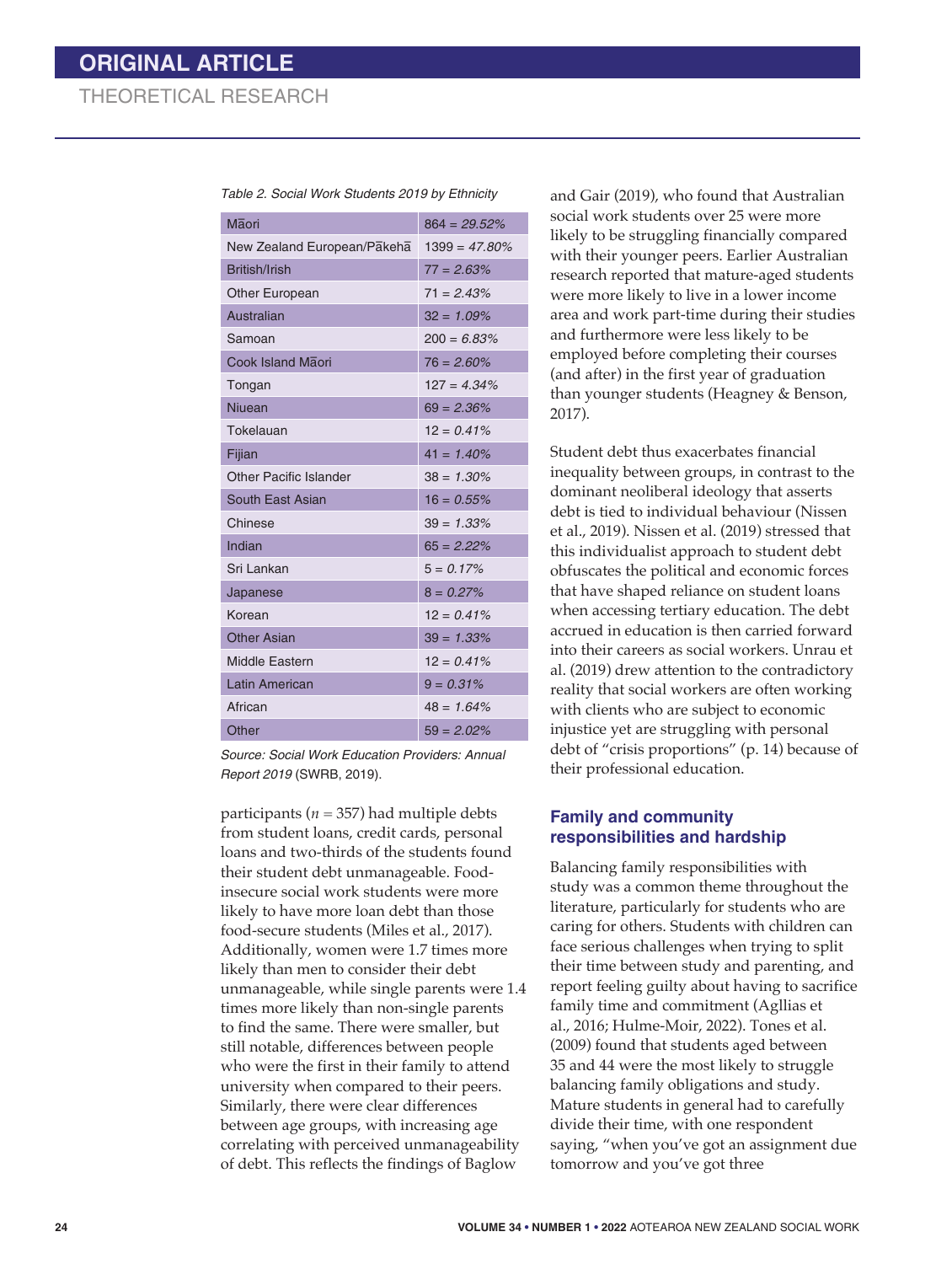| Table 2. Social Work Students 2019 by Ethnicity |  |  |
|-------------------------------------------------|--|--|
|-------------------------------------------------|--|--|

| Maori                         | $864 = 29.52\%$  |
|-------------------------------|------------------|
| New Zealand European/Pakeha   | $1399 = 47.80\%$ |
| British/Irish                 | $77 = 2.63%$     |
| <b>Other European</b>         | $71 = 2.43%$     |
| Australian                    | $32 = 1.09\%$    |
| Samoan                        | $200 = 6.83%$    |
| Cook Island Maori             | $76 = 2.60\%$    |
| Tongan                        | $127 = 4.34\%$   |
| Niuean                        | $69 = 2.36\%$    |
| Tokelauan                     | $12 = 0.41%$     |
| Fijian                        | $41 = 1.40\%$    |
| <b>Other Pacific Islander</b> | $38 = 1.30\%$    |
| South East Asian              | $16 = 0.55\%$    |
| Chinese                       | $39 = 1.33\%$    |
| Indian                        | $65 = 2.22%$     |
| Sri Lankan                    | $5 = 0.17%$      |
| Japanese                      | $8 = 0.27%$      |
| Korean                        | $12 = 0.41\%$    |
| <b>Other Asian</b>            | $39 = 1.33\%$    |
| Middle Eastern                | $12 = 0.41\%$    |
| <b>Latin American</b>         | $9 = 0.31\%$     |
| African                       | $48 = 1.64\%$    |
| Other                         | $59 = 2.02\%$    |

*Source: Social Work Education Providers: Annual Report 2019* (SWRB, 2019).

participants ( $n = 357$ ) had multiple debts from student loans, credit cards, personal loans and two-thirds of the students found their student debt unmanageable. Foodinsecure social work students were more likely to have more loan debt than those food-secure students (Miles et al., 2017). Additionally, women were 1.7 times more likely than men to consider their debt unmanageable, while single parents were 1.4 times more likely than non-single parents to find the same. There were smaller, but still notable, differences between people who were the first in their family to attend university when compared to their peers. Similarly, there were clear differences between age groups, with increasing age correlating with perceived unmanageability of debt. This reflects the findings of Baglow

and Gair (2019), who found that Australian social work students over 25 were more likely to be struggling financially compared with their younger peers. Earlier Australian research reported that mature-aged students were more likely to live in a lower income area and work part-time during their studies and furthermore were less likely to be employed before completing their courses (and after) in the first year of graduation than younger students (Heagney & Benson, 2017).

Student debt thus exacerbates financial inequality between groups, in contrast to the dominant neoliberal ideology that asserts debt is tied to individual behaviour (Nissen et al., 2019). Nissen et al. (2019) stressed that this individualist approach to student debt obfuscates the political and economic forces that have shaped reliance on student loans when accessing tertiary education. The debt accrued in education is then carried forward into their careers as social workers. Unrau et al. (2019) drew attention to the contradictory reality that social workers are often working with clients who are subject to economic injustice yet are struggling with personal debt of "crisis proportions" (p. 14) because of their professional education.

#### **Family and community responsibilities and hardship**

Balancing family responsibilities with study was a common theme throughout the literature, particularly for students who are caring for others. Students with children can face serious challenges when trying to split their time between study and parenting, and report feeling guilty about having to sacrifice family time and commitment (Agllias et al., 2016; Hulme-Moir, 2022). Tones et al. (2009) found that students aged between 35 and 44 were the most likely to struggle balancing family obligations and study. Mature students in general had to carefully divide their time, with one respondent saying, "when you've got an assignment due tomorrow and you've got three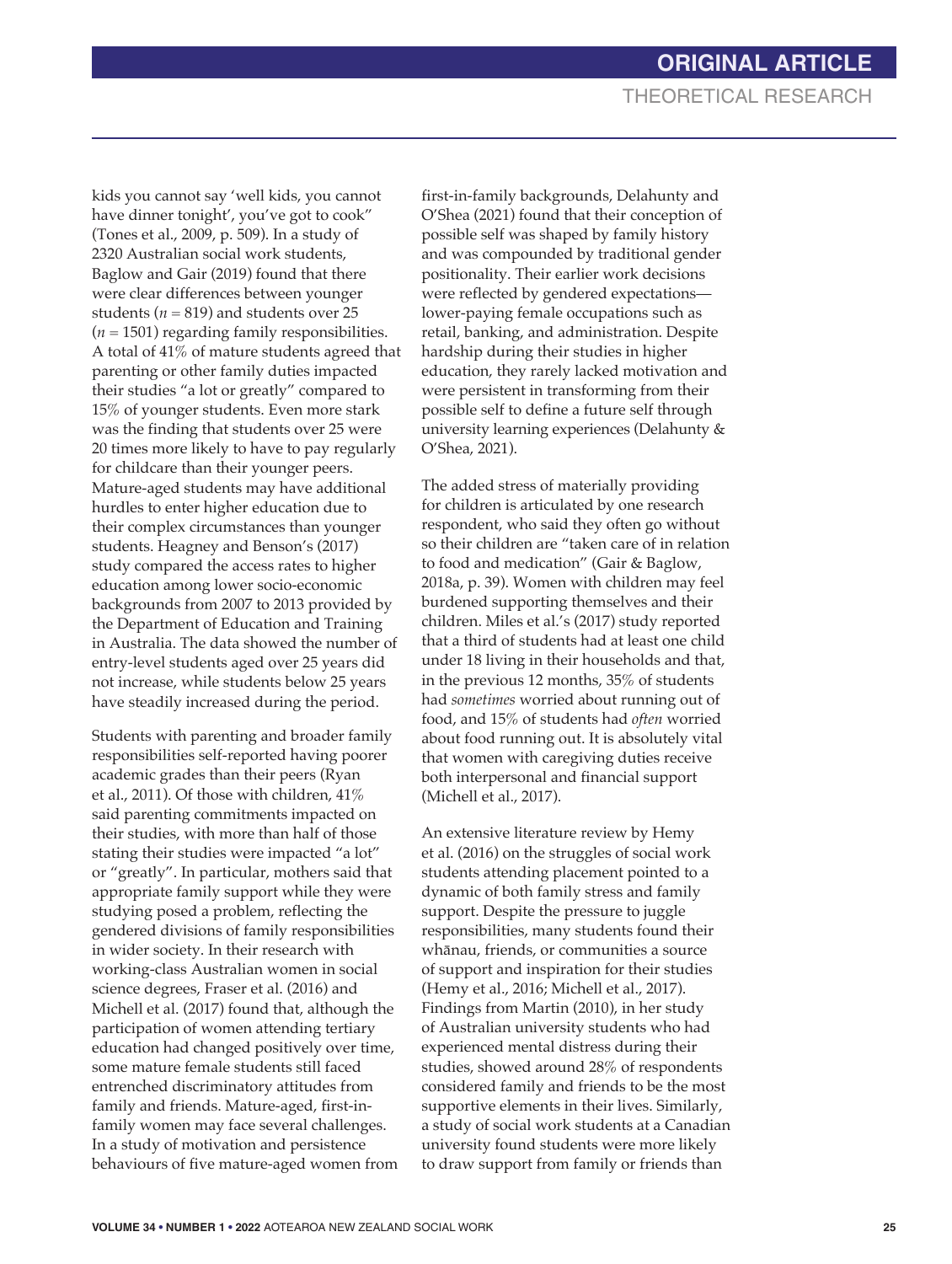kids you cannot say 'well kids, you cannot have dinner tonight', you've got to cook" (Tones et al., 2009, p. 509). In a study of 2320 Australian social work students, Baglow and Gair (2019) found that there were clear differences between younger students ( $n = 819$ ) and students over 25  $(n = 1501)$  regarding family responsibilities. A total of 41% of mature students agreed that parenting or other family duties impacted their studies "a lot or greatly" compared to 15% of younger students. Even more stark was the finding that students over 25 were 20 times more likely to have to pay regularly for childcare than their younger peers. Mature-aged students may have additional hurdles to enter higher education due to their complex circumstances than younger students. Heagney and Benson's (2017) study compared the access rates to higher education among lower socio-economic backgrounds from 2007 to 2013 provided by the Department of Education and Training in Australia. The data showed the number of entry-level students aged over 25 years did not increase, while students below 25 years have steadily increased during the period.

Students with parenting and broader family responsibilities self-reported having poorer academic grades than their peers (Ryan et al., 2011). Of those with children, 41% said parenting commitments impacted on their studies, with more than half of those stating their studies were impacted "a lot" or "greatly". In particular, mothers said that appropriate family support while they were studying posed a problem, reflecting the gendered divisions of family responsibilities in wider society. In their research with working-class Australian women in social science degrees, Fraser et al. (2016) and Michell et al. (2017) found that, although the participation of women attending tertiary education had changed positively over time, some mature female students still faced entrenched discriminatory attitudes from family and friends. Mature-aged, first-infamily women may face several challenges. In a study of motivation and persistence behaviours of five mature-aged women from

first-in-family backgrounds, Delahunty and O'Shea (2021) found that their conception of possible self was shaped by family history and was compounded by traditional gender positionality. Their earlier work decisions were reflected by gendered expectations lower-paying female occupations such as retail, banking, and administration. Despite hardship during their studies in higher education, they rarely lacked motivation and were persistent in transforming from their possible self to define a future self through university learning experiences (Delahunty & O'Shea, 2021).

The added stress of materially providing for children is articulated by one research respondent, who said they often go without so their children are "taken care of in relation to food and medication" (Gair & Baglow, 2018a, p. 39). Women with children may feel burdened supporting themselves and their children. Miles et al.'s (2017) study reported that a third of students had at least one child under 18 living in their households and that, in the previous 12 months, 35% of students had *sometimes* worried about running out of food, and 15% of students had *often* worried about food running out. It is absolutely vital that women with caregiving duties receive both interpersonal and financial support (Michell et al., 2017).

An extensive literature review by Hemy et al. (2016) on the struggles of social work students attending placement pointed to a dynamic of both family stress and family support. Despite the pressure to juggle responsibilities, many students found their whānau, friends, or communities a source of support and inspiration for their studies (Hemy et al., 2016; Michell et al., 2017). Findings from Martin (2010), in her study of Australian university students who had experienced mental distress during their studies, showed around 28% of respondents considered family and friends to be the most supportive elements in their lives. Similarly, a study of social work students at a Canadian university found students were more likely to draw support from family or friends than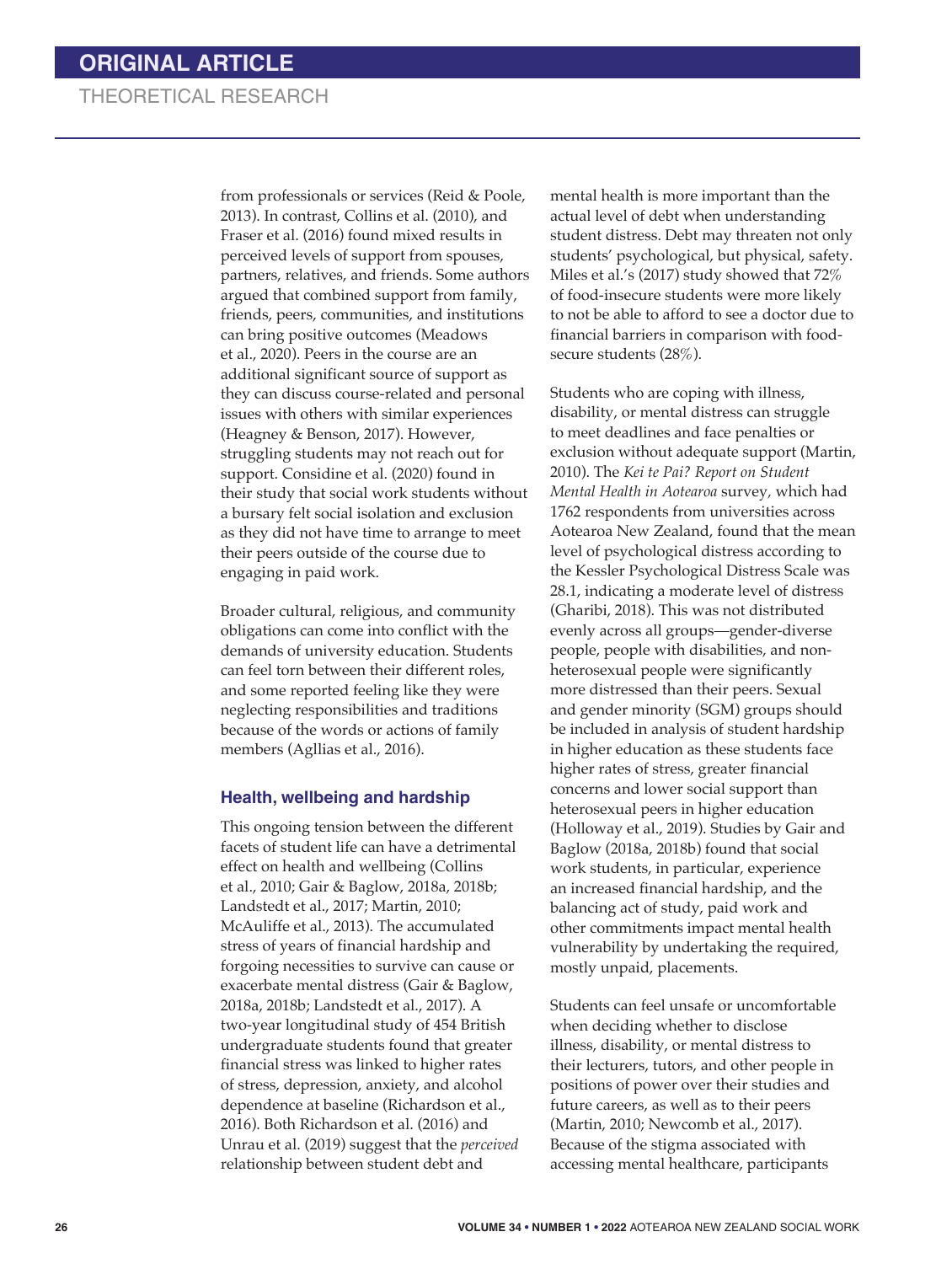from professionals or services (Reid & Poole, 2013). In contrast, Collins et al. (2010), and Fraser et al. (2016) found mixed results in perceived levels of support from spouses, partners, relatives, and friends. Some authors argued that combined support from family, friends, peers, communities, and institutions can bring positive outcomes (Meadows et al., 2020). Peers in the course are an additional significant source of support as they can discuss course-related and personal issues with others with similar experiences (Heagney & Benson, 2017). However, struggling students may not reach out for support. Considine et al. (2020) found in their study that social work students without a bursary felt social isolation and exclusion as they did not have time to arrange to meet their peers outside of the course due to engaging in paid work.

Broader cultural, religious, and community obligations can come into conflict with the demands of university education. Students can feel torn between their different roles, and some reported feeling like they were neglecting responsibilities and traditions because of the words or actions of family members (Agllias et al., 2016).

#### **Health, wellbeing and hardship**

This ongoing tension between the different facets of student life can have a detrimental effect on health and wellbeing (Collins et al., 2010; Gair & Baglow, 2018a, 2018b; Landstedt et al., 2017; Martin, 2010; McAuliffe et al., 2013). The accumulated stress of years of financial hardship and forgoing necessities to survive can cause or exacerbate mental distress (Gair & Baglow, 2018a, 2018b; Landstedt et al., 2017). A two-year longitudinal study of 454 British undergraduate students found that greater financial stress was linked to higher rates of stress, depression, anxiety, and alcohol dependence at baseline (Richardson et al., 2016). Both Richardson et al. (2016) and Unrau et al. (2019) suggest that the *perceived* relationship between student debt and

mental health is more important than the actual level of debt when understanding student distress. Debt may threaten not only students' psychological, but physical, safety. Miles et al.'s (2017) study showed that 72% of food-insecure students were more likely to not be able to afford to see a doctor due to financial barriers in comparison with foodsecure students (28%).

Students who are coping with illness, disability, or mental distress can struggle to meet deadlines and face penalties or exclusion without adequate support (Martin, 2010). The *Kei te Pai? Report on Student Mental Health in Aotearoa* survey*,* which had 1762 respondents from universities across Aotearoa New Zealand, found that the mean level of psychological distress according to the Kessler Psychological Distress Scale was 28.1, indicating a moderate level of distress (Gharibi, 2018). This was not distributed evenly across all groups—gender-diverse people, people with disabilities, and nonheterosexual people were significantly more distressed than their peers. Sexual and gender minority (SGM) groups should be included in analysis of student hardship in higher education as these students face higher rates of stress, greater financial concerns and lower social support than heterosexual peers in higher education (Holloway et al., 2019). Studies by Gair and Baglow (2018a, 2018b) found that social work students, in particular, experience an increased financial hardship, and the balancing act of study, paid work and other commitments impact mental health vulnerability by undertaking the required, mostly unpaid, placements.

Students can feel unsafe or uncomfortable when deciding whether to disclose illness, disability, or mental distress to their lecturers, tutors, and other people in positions of power over their studies and future careers, as well as to their peers (Martin, 2010; Newcomb et al., 2017). Because of the stigma associated with accessing mental healthcare, participants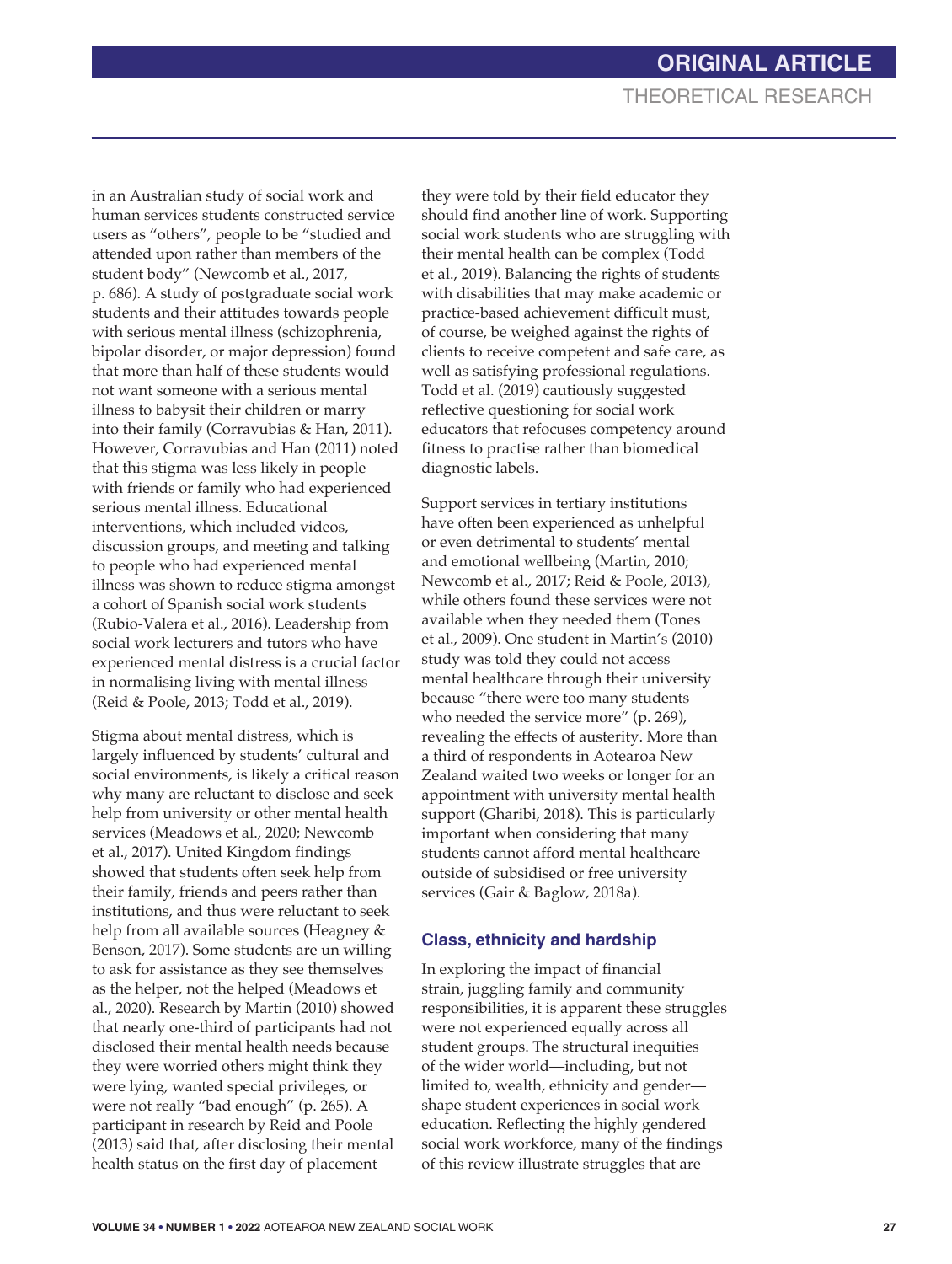in an Australian study of social work and human services students constructed service users as "others", people to be "studied and attended upon rather than members of the student body" (Newcomb et al., 2017, p. 686). A study of postgraduate social work students and their attitudes towards people with serious mental illness (schizophrenia, bipolar disorder, or major depression) found that more than half of these students would not want someone with a serious mental illness to babysit their children or marry into their family (Corravubias & Han, 2011). However, Corravubias and Han (2011) noted that this stigma was less likely in people with friends or family who had experienced serious mental illness. Educational interventions, which included videos, discussion groups, and meeting and talking to people who had experienced mental illness was shown to reduce stigma amongst a cohort of Spanish social work students (Rubio-Valera et al., 2016). Leadership from social work lecturers and tutors who have experienced mental distress is a crucial factor in normalising living with mental illness (Reid & Poole, 2013; Todd et al., 2019).

Stigma about mental distress, which is largely influenced by students' cultural and social environments, is likely a critical reason why many are reluctant to disclose and seek help from university or other mental health services (Meadows et al., 2020; Newcomb et al., 2017). United Kingdom findings showed that students often seek help from their family, friends and peers rather than institutions, and thus were reluctant to seek help from all available sources (Heagney & Benson, 2017). Some students are un willing to ask for assistance as they see themselves as the helper, not the helped (Meadows et al., 2020). Research by Martin (2010) showed that nearly one-third of participants had not disclosed their mental health needs because they were worried others might think they were lying, wanted special privileges, or were not really "bad enough" (p. 265). A participant in research by Reid and Poole (2013) said that, after disclosing their mental health status on the first day of placement

they were told by their field educator they should find another line of work. Supporting social work students who are struggling with their mental health can be complex (Todd et al., 2019). Balancing the rights of students with disabilities that may make academic or practice-based achievement difficult must, of course, be weighed against the rights of clients to receive competent and safe care, as well as satisfying professional regulations. Todd et al. (2019) cautiously suggested reflective questioning for social work educators that refocuses competency around fitness to practise rather than biomedical diagnostic labels.

Support services in tertiary institutions have often been experienced as unhelpful or even detrimental to students' mental and emotional wellbeing (Martin, 2010; Newcomb et al., 2017; Reid & Poole, 2013), while others found these services were not available when they needed them (Tones et al., 2009). One student in Martin's (2010) study was told they could not access mental healthcare through their university because "there were too many students who needed the service more" (p. 269), revealing the effects of austerity. More than a third of respondents in Aotearoa New Zealand waited two weeks or longer for an appointment with university mental health support (Gharibi, 2018). This is particularly important when considering that many students cannot afford mental healthcare outside of subsidised or free university services (Gair & Baglow, 2018a).

#### **Class, ethnicity and hardship**

In exploring the impact of financial strain, juggling family and community responsibilities, it is apparent these struggles were not experienced equally across all student groups. The structural inequities of the wider world—including, but not limited to, wealth, ethnicity and gender shape student experiences in social work education. Reflecting the highly gendered social work workforce, many of the findings of this review illustrate struggles that are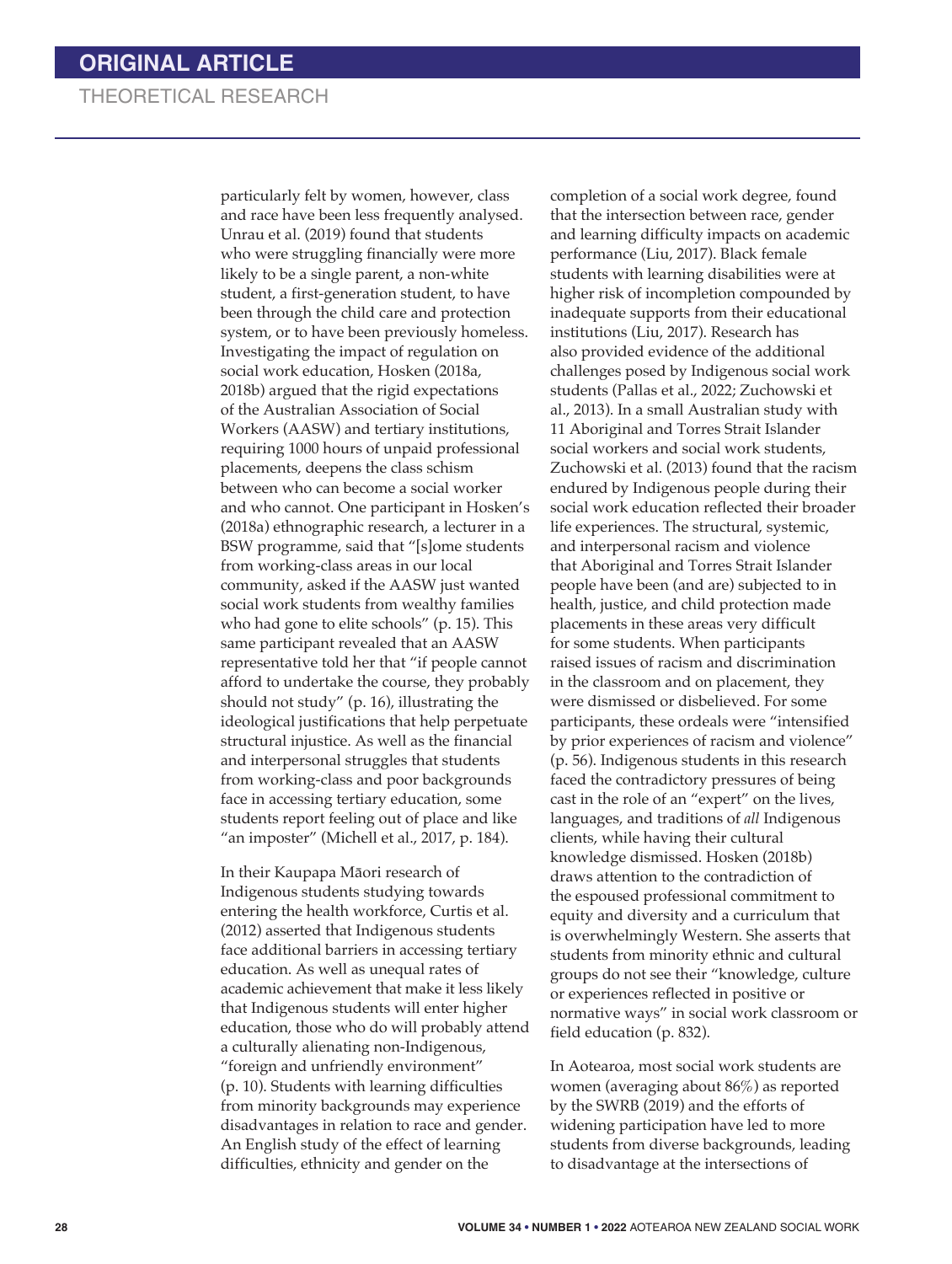particularly felt by women, however, class and race have been less frequently analysed. Unrau et al. (2019) found that students who were struggling financially were more likely to be a single parent, a non-white student, a first-generation student, to have been through the child care and protection system, or to have been previously homeless. Investigating the impact of regulation on social work education, Hosken (2018a, 2018b) argued that the rigid expectations of the Australian Association of Social Workers (AASW) and tertiary institutions, requiring 1000 hours of unpaid professional placements, deepens the class schism between who can become a social worker and who cannot. One participant in Hosken's (2018a) ethnographic research, a lecturer in a BSW programme, said that "[s]ome students from working-class areas in our local community, asked if the AASW just wanted social work students from wealthy families who had gone to elite schools" (p. 15). This same participant revealed that an AASW representative told her that "if people cannot afford to undertake the course, they probably should not study" (p. 16), illustrating the ideological justifications that help perpetuate structural injustice. As well as the financial and interpersonal struggles that students from working-class and poor backgrounds face in accessing tertiary education, some students report feeling out of place and like "an imposter" (Michell et al., 2017, p. 184).

In their Kaupapa Māori research of Indigenous students studying towards entering the health workforce, Curtis et al. (2012) asserted that Indigenous students face additional barriers in accessing tertiary education. As well as unequal rates of academic achievement that make it less likely that Indigenous students will enter higher education, those who do will probably attend a culturally alienating non-Indigenous, "foreign and unfriendly environment" (p. 10). Students with learning difficulties from minority backgrounds may experience disadvantages in relation to race and gender. An English study of the effect of learning difficulties, ethnicity and gender on the

completion of a social work degree, found that the intersection between race, gender and learning difficulty impacts on academic performance (Liu, 2017). Black female students with learning disabilities were at higher risk of incompletion compounded by inadequate supports from their educational institutions (Liu, 2017). Research has also provided evidence of the additional challenges posed by Indigenous social work students (Pallas et al., 2022; Zuchowski et al., 2013). In a small Australian study with 11 Aboriginal and Torres Strait Islander social workers and social work students, Zuchowski et al. (2013) found that the racism endured by Indigenous people during their social work education reflected their broader life experiences. The structural, systemic, and interpersonal racism and violence that Aboriginal and Torres Strait Islander people have been (and are) subjected to in health, justice, and child protection made placements in these areas very difficult for some students. When participants raised issues of racism and discrimination in the classroom and on placement, they were dismissed or disbelieved. For some participants, these ordeals were "intensified by prior experiences of racism and violence" (p. 56). Indigenous students in this research faced the contradictory pressures of being cast in the role of an "expert" on the lives, languages, and traditions of *all* Indigenous clients, while having their cultural knowledge dismissed. Hosken (2018b) draws attention to the contradiction of the espoused professional commitment to equity and diversity and a curriculum that is overwhelmingly Western. She asserts that students from minority ethnic and cultural groups do not see their "knowledge, culture or experiences reflected in positive or normative ways" in social work classroom or field education (p. 832).

In Aotearoa, most social work students are women (averaging about 86%) as reported by the SWRB (2019) and the efforts of widening participation have led to more students from diverse backgrounds, leading to disadvantage at the intersections of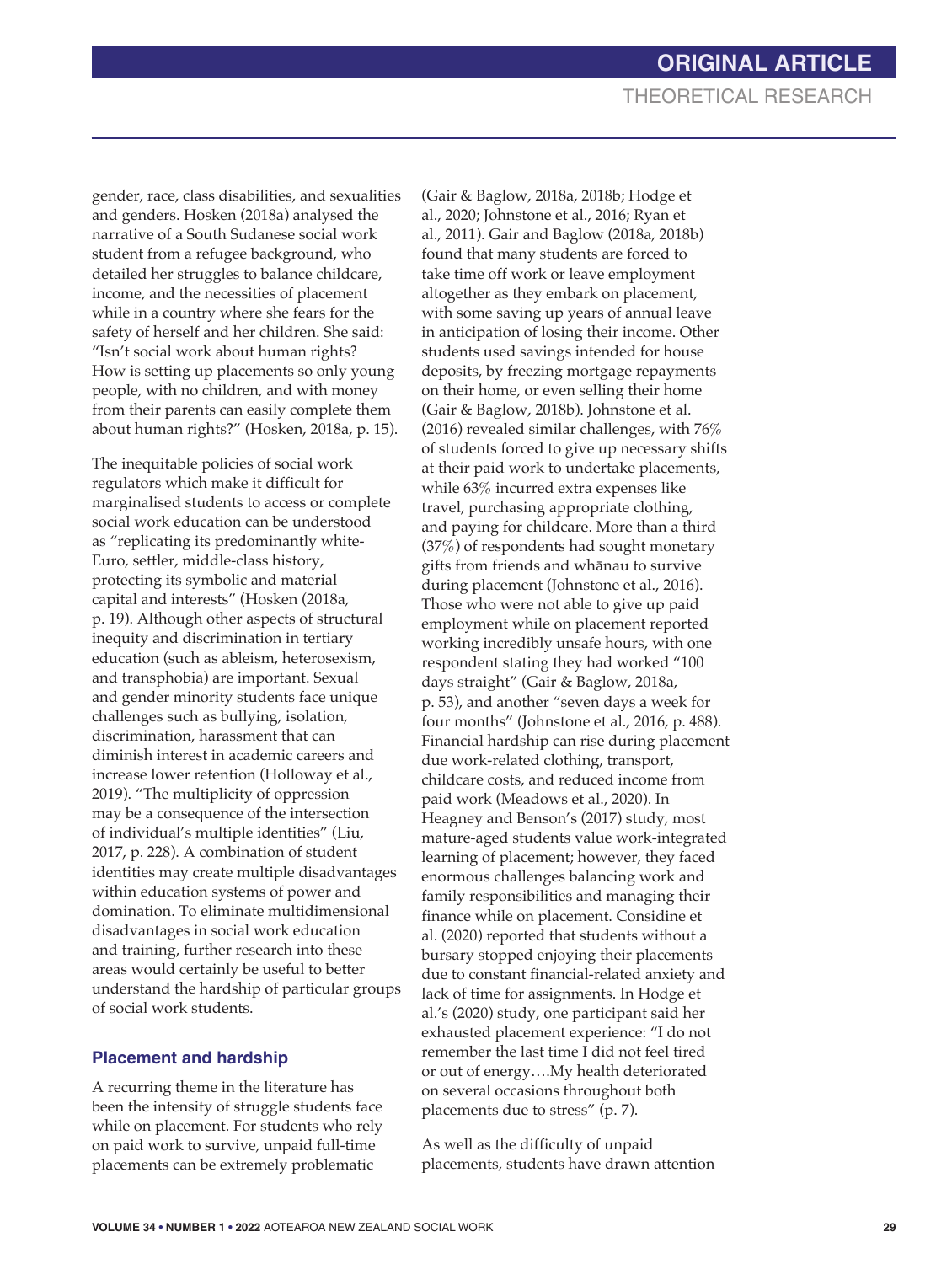gender, race, class disabilities, and sexualities and genders. Hosken (2018a) analysed the narrative of a South Sudanese social work student from a refugee background, who detailed her struggles to balance childcare, income, and the necessities of placement while in a country where she fears for the safety of herself and her children. She said: "Isn't social work about human rights? How is setting up placements so only young people, with no children, and with money from their parents can easily complete them about human rights?" (Hosken, 2018a, p. 15).

The inequitable policies of social work regulators which make it difficult for marginalised students to access or complete social work education can be understood as "replicating its predominantly white-Euro, settler, middle-class history, protecting its symbolic and material capital and interests" (Hosken (2018a, p. 19). Although other aspects of structural inequity and discrimination in tertiary education (such as ableism, heterosexism, and transphobia) are important. Sexual and gender minority students face unique challenges such as bullying, isolation, discrimination, harassment that can diminish interest in academic careers and increase lower retention (Holloway et al., 2019). "The multiplicity of oppression may be a consequence of the intersection of individual's multiple identities" (Liu, 2017, p. 228). A combination of student identities may create multiple disadvantages within education systems of power and domination. To eliminate multidimensional disadvantages in social work education and training, further research into these areas would certainly be useful to better understand the hardship of particular groups of social work students.

#### **Placement and hardship**

A recurring theme in the literature has been the intensity of struggle students face while on placement. For students who rely on paid work to survive, unpaid full-time placements can be extremely problematic

(Gair & Baglow, 2018a, 2018b; Hodge et al., 2020; Johnstone et al., 2016; Ryan et al., 2011). Gair and Baglow (2018a, 2018b) found that many students are forced to take time off work or leave employment altogether as they embark on placement, with some saving up years of annual leave in anticipation of losing their income. Other students used savings intended for house deposits, by freezing mortgage repayments on their home, or even selling their home (Gair & Baglow, 2018b). Johnstone et al. (2016) revealed similar challenges, with 76% of students forced to give up necessary shifts at their paid work to undertake placements, while 63% incurred extra expenses like travel, purchasing appropriate clothing, and paying for childcare. More than a third (37%) of respondents had sought monetary gifts from friends and whānau to survive during placement (Johnstone et al., 2016). Those who were not able to give up paid employment while on placement reported working incredibly unsafe hours, with one respondent stating they had worked "100 days straight" (Gair & Baglow, 2018a, p. 53), and another "seven days a week for four months" (Johnstone et al., 2016, p. 488). Financial hardship can rise during placement due work-related clothing, transport, childcare costs, and reduced income from paid work (Meadows et al., 2020). In Heagney and Benson's (2017) study, most mature-aged students value work-integrated learning of placement; however, they faced enormous challenges balancing work and family responsibilities and managing their finance while on placement. Considine et al. (2020) reported that students without a bursary stopped enjoying their placements due to constant financial-related anxiety and lack of time for assignments. In Hodge et al.'s (2020) study, one participant said her exhausted placement experience: "I do not remember the last time I did not feel tired or out of energy….My health deteriorated on several occasions throughout both placements due to stress" (p. 7).

As well as the difficulty of unpaid placements, students have drawn attention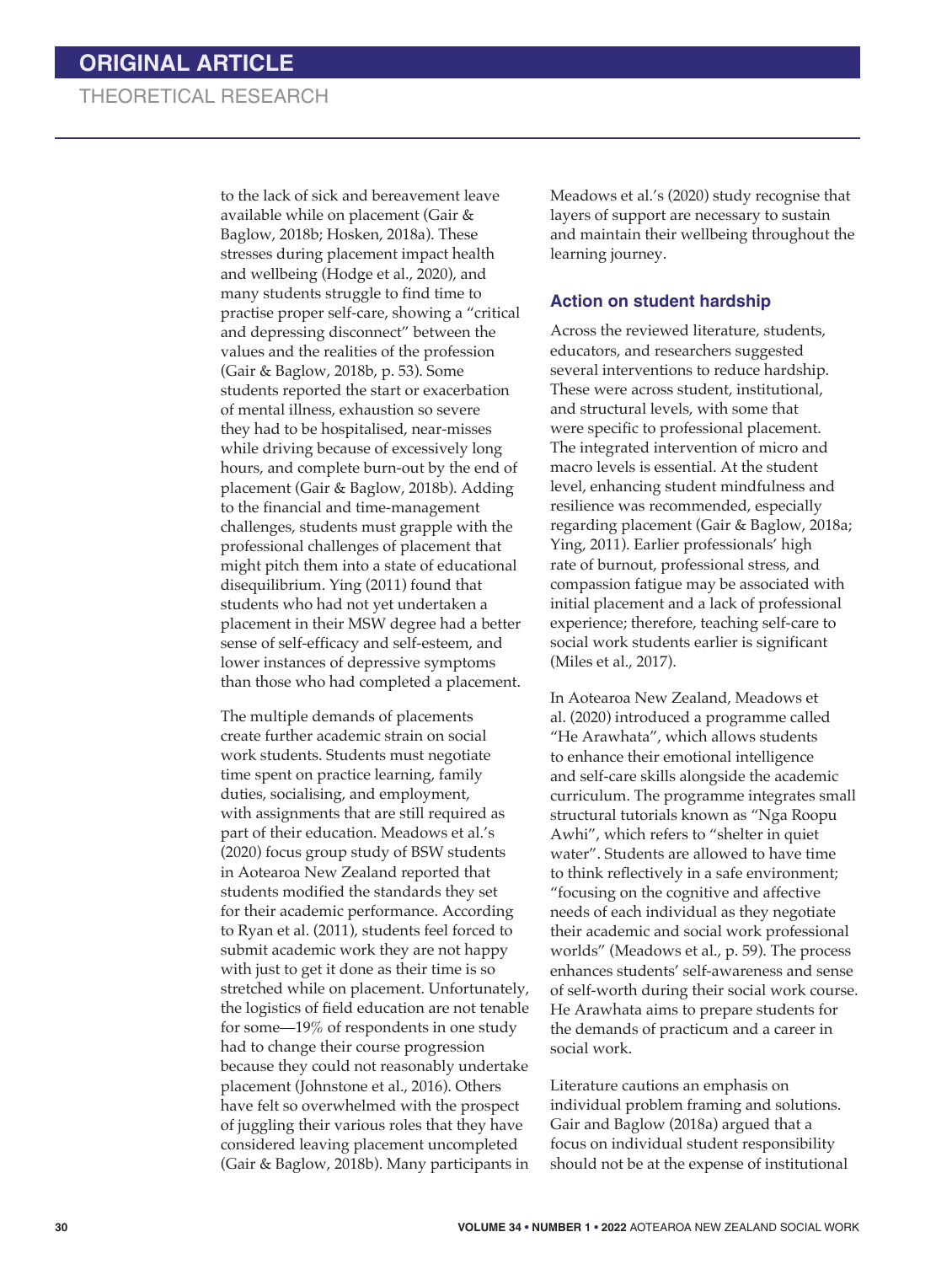to the lack of sick and bereavement leave available while on placement (Gair & Baglow, 2018b; Hosken, 2018a). These stresses during placement impact health and wellbeing (Hodge et al., 2020), and many students struggle to find time to practise proper self-care, showing a "critical and depressing disconnect" between the values and the realities of the profession (Gair & Baglow, 2018b, p. 53). Some students reported the start or exacerbation of mental illness, exhaustion so severe they had to be hospitalised, near-misses while driving because of excessively long hours, and complete burn-out by the end of placement (Gair & Baglow, 2018b). Adding to the financial and time-management challenges, students must grapple with the professional challenges of placement that might pitch them into a state of educational disequilibrium. Ying (2011) found that students who had not yet undertaken a placement in their MSW degree had a better sense of self-efficacy and self-esteem, and lower instances of depressive symptoms than those who had completed a placement.

The multiple demands of placements create further academic strain on social work students. Students must negotiate time spent on practice learning, family duties, socialising, and employment, with assignments that are still required as part of their education. Meadows et al.'s (2020) focus group study of BSW students in Aotearoa New Zealand reported that students modified the standards they set for their academic performance. According to Ryan et al. (2011), students feel forced to submit academic work they are not happy with just to get it done as their time is so stretched while on placement. Unfortunately, the logistics of field education are not tenable for some—19% of respondents in one study had to change their course progression because they could not reasonably undertake placement (Johnstone et al., 2016). Others have felt so overwhelmed with the prospect of juggling their various roles that they have considered leaving placement uncompleted (Gair & Baglow, 2018b). Many participants in

Meadows et al.'s (2020) study recognise that layers of support are necessary to sustain and maintain their wellbeing throughout the learning journey.

#### **Action on student hardship**

Across the reviewed literature, students, educators, and researchers suggested several interventions to reduce hardship. These were across student, institutional, and structural levels, with some that were specific to professional placement. The integrated intervention of micro and macro levels is essential. At the student level, enhancing student mindfulness and resilience was recommended, especially regarding placement (Gair & Baglow, 2018a; Ying, 2011). Earlier professionals' high rate of burnout, professional stress, and compassion fatigue may be associated with initial placement and a lack of professional experience; therefore, teaching self-care to social work students earlier is significant (Miles et al., 2017).

In Aotearoa New Zealand, Meadows et al. (2020) introduced a programme called "He Arawhata", which allows students to enhance their emotional intelligence and self-care skills alongside the academic curriculum. The programme integrates small structural tutorials known as "Nga Roopu Awhi", which refers to "shelter in quiet water". Students are allowed to have time to think reflectively in a safe environment; "focusing on the cognitive and affective needs of each individual as they negotiate their academic and social work professional worlds" (Meadows et al., p. 59). The process enhances students' self-awareness and sense of self-worth during their social work course. He Arawhata aims to prepare students for the demands of practicum and a career in social work.

Literature cautions an emphasis on individual problem framing and solutions. Gair and Baglow (2018a) argued that a focus on individual student responsibility should not be at the expense of institutional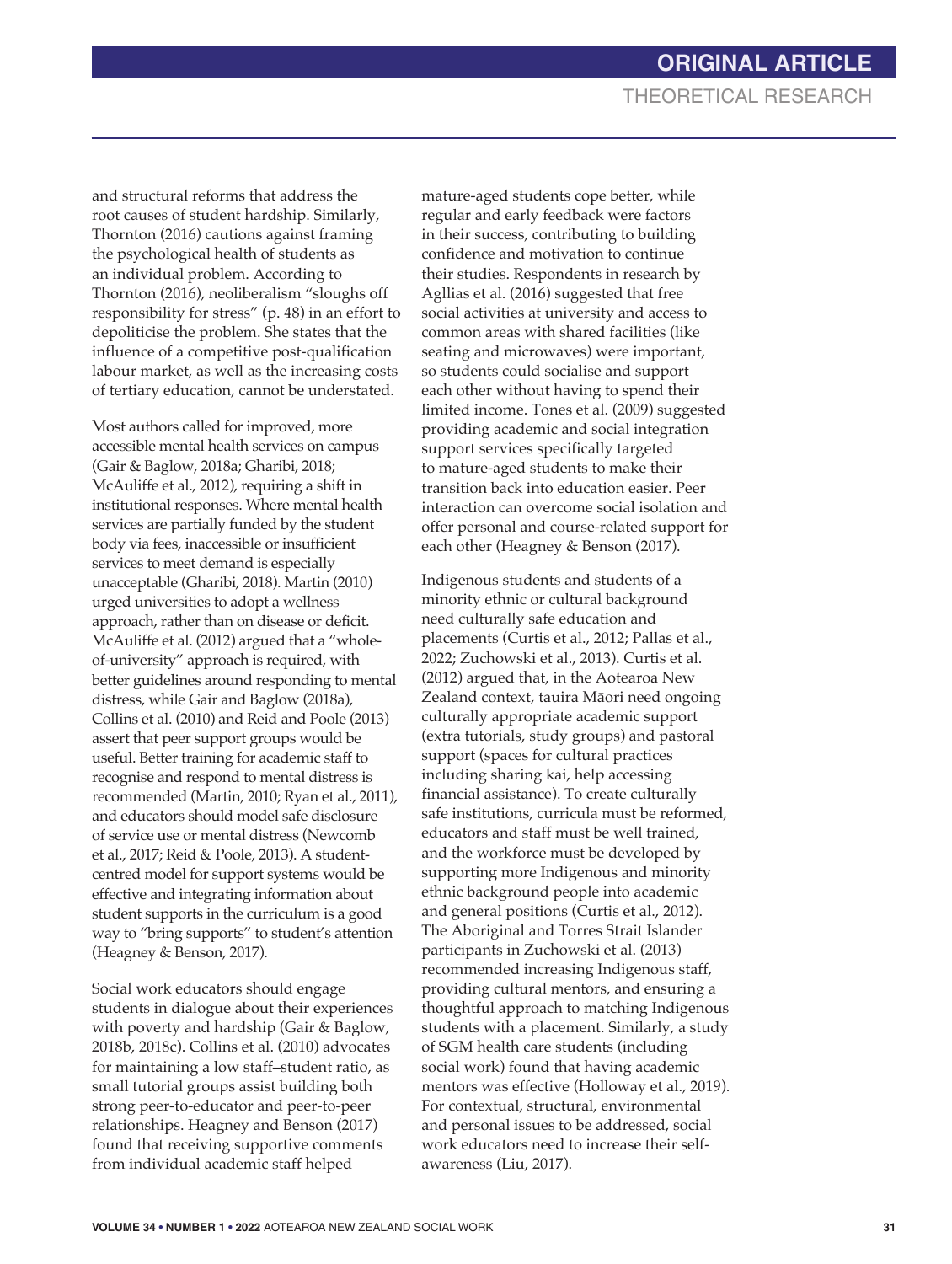and structural reforms that address the root causes of student hardship. Similarly, Thornton (2016) cautions against framing the psychological health of students as an individual problem. According to Thornton (2016), neoliberalism "sloughs off responsibility for stress" (p. 48) in an effort to depoliticise the problem. She states that the influence of a competitive post-qualification labour market, as well as the increasing costs of tertiary education, cannot be understated.

Most authors called for improved, more accessible mental health services on campus (Gair & Baglow, 2018a; Gharibi, 2018; McAuliffe et al., 2012), requiring a shift in institutional responses. Where mental health services are partially funded by the student body via fees, inaccessible or insufficient services to meet demand is especially unacceptable (Gharibi, 2018). Martin (2010) urged universities to adopt a wellness approach, rather than on disease or deficit. McAuliffe et al. (2012) argued that a "wholeof-university" approach is required, with better guidelines around responding to mental distress, while Gair and Baglow (2018a), Collins et al. (2010) and Reid and Poole (2013) assert that peer support groups would be useful. Better training for academic staff to recognise and respond to mental distress is recommended (Martin, 2010; Ryan et al., 2011), and educators should model safe disclosure of service use or mental distress (Newcomb et al., 2017; Reid & Poole, 2013). A studentcentred model for support systems would be effective and integrating information about student supports in the curriculum is a good way to "bring supports" to student's attention (Heagney & Benson, 2017).

Social work educators should engage students in dialogue about their experiences with poverty and hardship (Gair & Baglow, 2018b, 2018c). Collins et al. (2010) advocates for maintaining a low staff–student ratio, as small tutorial groups assist building both strong peer-to-educator and peer-to-peer relationships. Heagney and Benson (2017) found that receiving supportive comments from individual academic staff helped

mature-aged students cope better, while regular and early feedback were factors in their success, contributing to building confidence and motivation to continue their studies. Respondents in research by Agllias et al. (2016) suggested that free social activities at university and access to common areas with shared facilities (like seating and microwaves) were important, so students could socialise and support each other without having to spend their limited income. Tones et al. (2009) suggested providing academic and social integration support services specifically targeted to mature-aged students to make their transition back into education easier. Peer interaction can overcome social isolation and offer personal and course-related support for each other (Heagney & Benson (2017).

Indigenous students and students of a minority ethnic or cultural background need culturally safe education and placements (Curtis et al., 2012; Pallas et al., 2022; Zuchowski et al., 2013). Curtis et al. (2012) argued that, in the Aotearoa New Zealand context, tauira Māori need ongoing culturally appropriate academic support (extra tutorials, study groups) and pastoral support (spaces for cultural practices including sharing kai, help accessing financial assistance). To create culturally safe institutions, curricula must be reformed, educators and staff must be well trained, and the workforce must be developed by supporting more Indigenous and minority ethnic background people into academic and general positions (Curtis et al., 2012). The Aboriginal and Torres Strait Islander participants in Zuchowski et al. (2013) recommended increasing Indigenous staff, providing cultural mentors, and ensuring a thoughtful approach to matching Indigenous students with a placement. Similarly, a study of SGM health care students (including social work) found that having academic mentors was effective (Holloway et al., 2019). For contextual, structural, environmental and personal issues to be addressed, social work educators need to increase their selfawareness (Liu, 2017).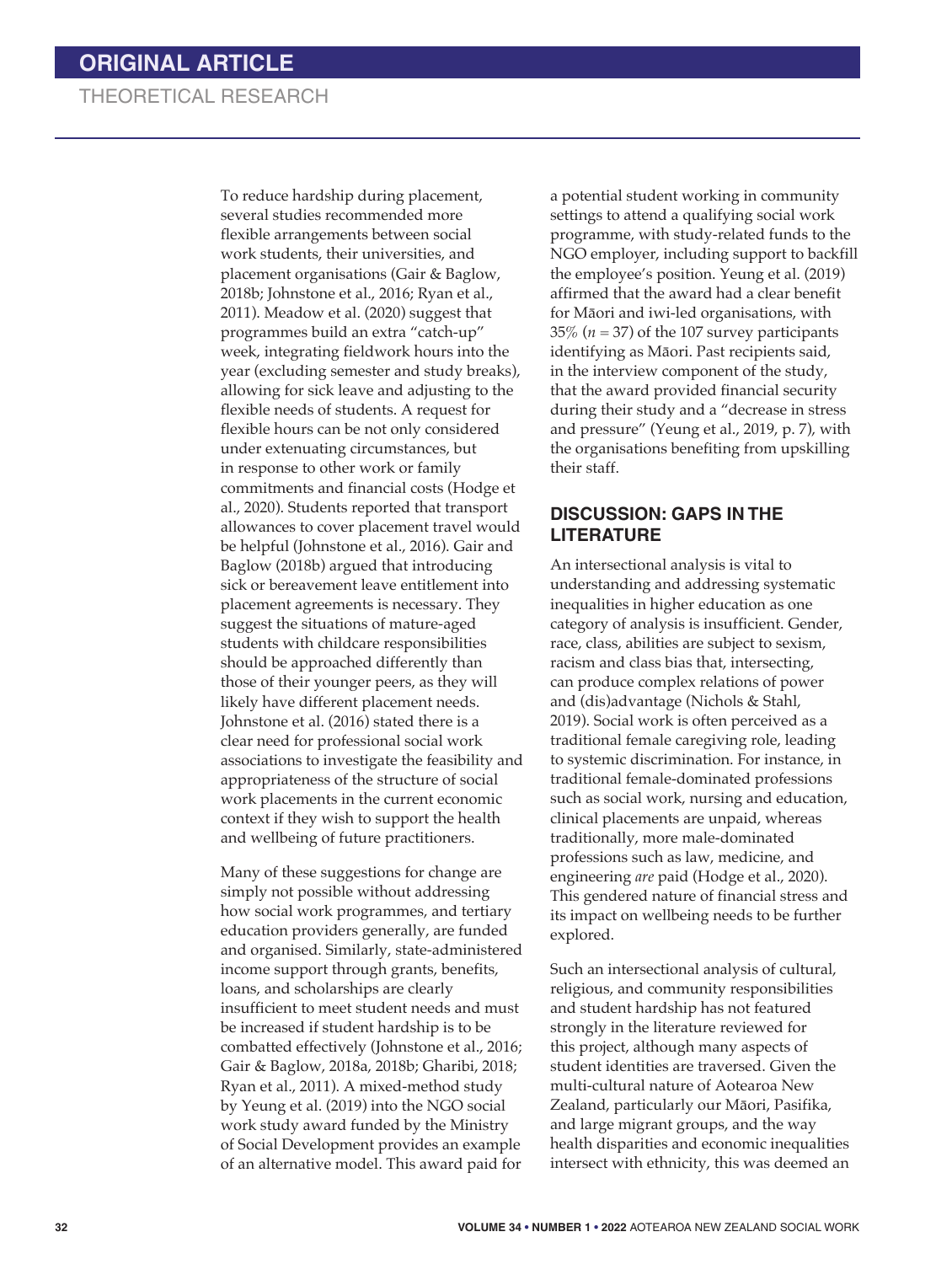To reduce hardship during placement, several studies recommended more flexible arrangements between social work students, their universities, and placement organisations (Gair & Baglow, 2018b; Johnstone et al., 2016; Ryan et al., 2011). Meadow et al. (2020) suggest that programmes build an extra "catch-up" week, integrating fieldwork hours into the year (excluding semester and study breaks), allowing for sick leave and adjusting to the flexible needs of students. A request for flexible hours can be not only considered under extenuating circumstances, but in response to other work or family commitments and financial costs (Hodge et al., 2020). Students reported that transport allowances to cover placement travel would be helpful (Johnstone et al., 2016). Gair and Baglow (2018b) argued that introducing sick or bereavement leave entitlement into placement agreements is necessary. They suggest the situations of mature-aged students with childcare responsibilities should be approached differently than those of their younger peers, as they will likely have different placement needs. Johnstone et al. (2016) stated there is a clear need for professional social work associations to investigate the feasibility and appropriateness of the structure of social work placements in the current economic context if they wish to support the health and wellbeing of future practitioners.

Many of these suggestions for change are simply not possible without addressing how social work programmes, and tertiary education providers generally, are funded and organised. Similarly, state-administered income support through grants, benefits, loans, and scholarships are clearly insufficient to meet student needs and must be increased if student hardship is to be combatted effectively (Johnstone et al., 2016; Gair & Baglow, 2018a, 2018b; Gharibi, 2018; Ryan et al., 2011). A mixed-method study by Yeung et al. (2019) into the NGO social work study award funded by the Ministry of Social Development provides an example of an alternative model. This award paid for

a potential student working in community settings to attend a qualifying social work programme, with study-related funds to the NGO employer, including support to backfill the employee's position. Yeung et al. (2019) affirmed that the award had a clear benefit for Māori and iwi-led organisations, with 35% (*n* = 37) of the 107 survey participants identifying as Māori. Past recipients said, in the interview component of the study, that the award provided financial security during their study and a "decrease in stress and pressure" (Yeung et al., 2019, p. 7), with the organisations benefiting from upskilling their staff.

### **DISCUSSION: GAPS IN THE LITERATURE**

An intersectional analysis is vital to understanding and addressing systematic inequalities in higher education as one category of analysis is insufficient. Gender, race, class, abilities are subject to sexism, racism and class bias that, intersecting, can produce complex relations of power and (dis)advantage (Nichols & Stahl, 2019). Social work is often perceived as a traditional female caregiving role, leading to systemic discrimination. For instance, in traditional female-dominated professions such as social work, nursing and education, clinical placements are unpaid, whereas traditionally, more male-dominated professions such as law, medicine, and engineering *are* paid (Hodge et al., 2020). This gendered nature of financial stress and its impact on wellbeing needs to be further explored.

Such an intersectional analysis of cultural, religious, and community responsibilities and student hardship has not featured strongly in the literature reviewed for this project, although many aspects of student identities are traversed. Given the multi-cultural nature of Aotearoa New Zealand, particularly our Māori, Pasifika, and large migrant groups, and the way health disparities and economic inequalities intersect with ethnicity, this was deemed an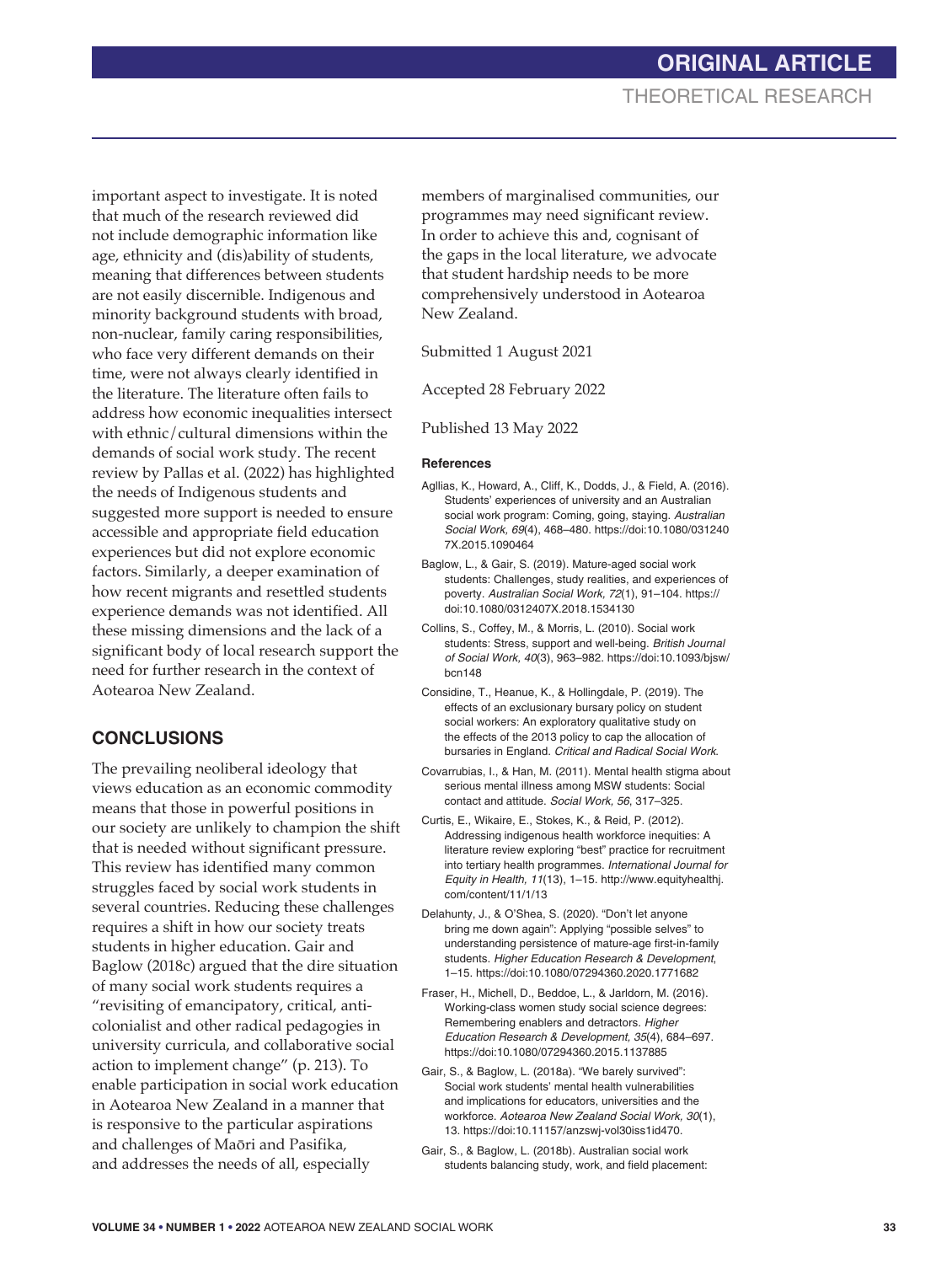important aspect to investigate. It is noted that much of the research reviewed did not include demographic information like age, ethnicity and (dis)ability of students, meaning that differences between students are not easily discernible. Indigenous and minority background students with broad, non-nuclear, family caring responsibilities, who face very different demands on their time, were not always clearly identified in the literature. The literature often fails to address how economic inequalities intersect with ethnic/cultural dimensions within the demands of social work study. The recent review by Pallas et al. (2022) has highlighted the needs of Indigenous students and suggested more support is needed to ensure accessible and appropriate field education experiences but did not explore economic factors. Similarly, a deeper examination of how recent migrants and resettled students experience demands was not identified. All these missing dimensions and the lack of a significant body of local research support the need for further research in the context of Aotearoa New Zealand.

## **CONCLUSIONS**

The prevailing neoliberal ideology that views education as an economic commodity means that those in powerful positions in our society are unlikely to champion the shift that is needed without significant pressure. This review has identified many common struggles faced by social work students in several countries. Reducing these challenges requires a shift in how our society treats students in higher education. Gair and Baglow (2018c) argued that the dire situation of many social work students requires a "revisiting of emancipatory, critical, anticolonialist and other radical pedagogies in university curricula, and collaborative social action to implement change" (p. 213). To enable participation in social work education in Aotearoa New Zealand in a manner that is responsive to the particular aspirations and challenges of Maōri and Pasifika, and addresses the needs of all, especially

members of marginalised communities, our programmes may need significant review. In order to achieve this and, cognisant of the gaps in the local literature, we advocate that student hardship needs to be more comprehensively understood in Aotearoa New Zealand.

Submitted 1 August 2021

Accepted 28 February 2022

Published 13 May 2022

#### **References**

- Agllias, K., Howard, A., Cliff, K., Dodds, J., & Field, A. (2016). Students' experiences of university and an Australian social work program: Coming, going, staying. *Australian Social Work, 69*(4), 468–480. https://doi:10.1080/031240 7X.2015.1090464
- Baglow, L., & Gair, S. (2019). Mature-aged social work students: Challenges, study realities, and experiences of poverty. *Australian Social Work, 72*(1), 91–104. https:// doi:10.1080/0312407X.2018.1534130
- Collins, S., Coffey, M., & Morris, L. (2010). Social work students: Stress, support and well-being. *British Journal of Social Work, 40*(3), 963–982. https://doi:10.1093/bjsw/ bcn148
- Considine, T., Heanue, K., & Hollingdale, P. (2019). The effects of an exclusionary bursary policy on student social workers: An exploratory qualitative study on the effects of the 2013 policy to cap the allocation of bursaries in England. *Critical and Radical Social Work*.
- Covarrubias, I., & Han, M. (2011). Mental health stigma about serious mental illness among MSW students: Social contact and attitude. *Social Work, 56*, 317–325.
- Curtis, E., Wikaire, E., Stokes, K., & Reid, P. (2012). Addressing indigenous health workforce inequities: A literature review exploring "best" practice for recruitment into tertiary health programmes. *International Journal for Equity in Health, 11*(13), 1–15. http://www.equityhealthj. com/content/11/1/13
- Delahunty, J., & O'Shea, S. (2020). "Don't let anyone bring me down again": Applying "possible selves" to understanding persistence of mature-age first-in-family students. *Higher Education Research & Development*, 1–15. https://doi:10.1080/07294360.2020.1771682
- Fraser, H., Michell, D., Beddoe, L., & Jarldorn, M. (2016). Working-class women study social science degrees: Remembering enablers and detractors. *Higher Education Research & Development, 35*(4), 684–697. https://doi:10.1080/07294360.2015.1137885
- Gair, S., & Baglow, L. (2018a). "We barely survived": Social work students' mental health vulnerabilities and implications for educators, universities and the workforce. *Aotearoa New Zealand Social Work, 30*(1), 13. https://doi:10.11157/anzswj-vol30iss1id470.
- Gair, S., & Baglow, L. (2018b). Australian social work students balancing study, work, and field placement: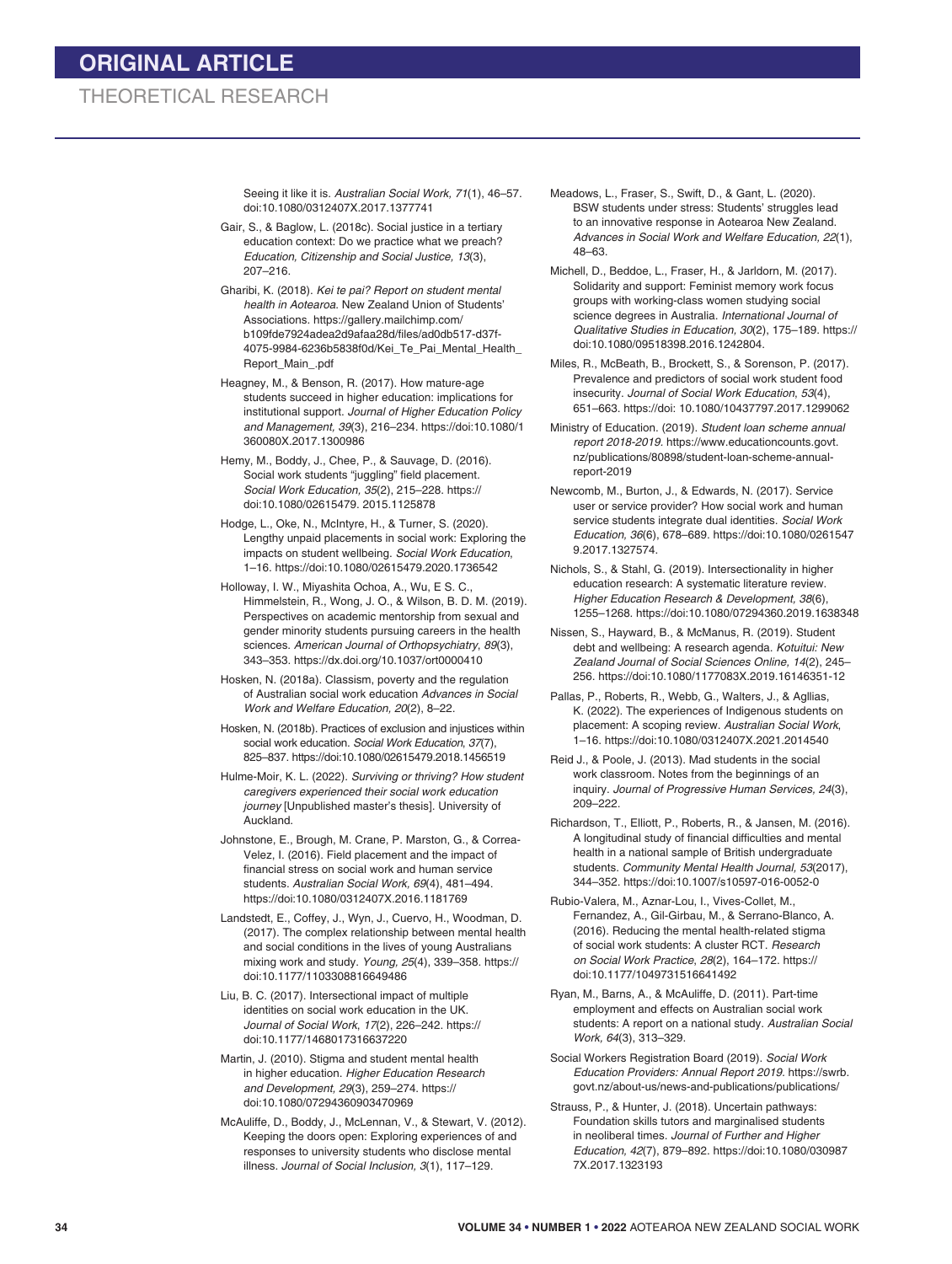Seeing it like it is. *Australian Social Work, 71*(1), 46–57. doi:10.1080/0312407X.2017.1377741

- Gair, S., & Baglow, L. (2018c). Social justice in a tertiary education context: Do we practice what we preach? *Education, Citizenship and Social Justice, 13*(3), 207–216.
- Gharibi, K. (2018). *Kei te pai? Report on student mental health in Aotearoa*. New Zealand Union of Students' Associations. https://gallery.mailchimp.com/ b109fde7924adea2d9afaa28d/files/ad0db517-d37f-4075-9984-6236b5838f0d/Kei\_Te\_Pai\_Mental\_Health\_ Report\_Main\_.pdf
- Heagney, M., & Benson, R. (2017). How mature-age students succeed in higher education: implications for institutional support. *Journal of Higher Education Policy and Management, 39*(3), 216–234. https://doi:10.1080/1 360080X.2017.1300986
- Hemy, M., Boddy, J., Chee, P., & Sauvage, D. (2016). Social work students "juggling" field placement*. Social Work Education, 35*(2), 215–228. https:// doi:10.1080/02615479. 2015.1125878
- Hodge, L., Oke, N., McIntyre, H., & Turner, S. (2020). Lengthy unpaid placements in social work: Exploring the impacts on student wellbeing. *Social Work Education*, 1–16. https://doi:10.1080/02615479.2020.1736542
- Holloway, I. W., Miyashita Ochoa, A., Wu, E S. C., Himmelstein, R., Wong, J. O., & Wilson, B. D. M. (2019). Perspectives on academic mentorship from sexual and gender minority students pursuing careers in the health sciences. *American Journal of Orthopsychiatry*, *89*(3), 343–353. https://dx.doi.org/10.1037/ort0000410
- Hosken, N. (2018a). Classism, poverty and the regulation of Australian social work education *Advances in Social Work and Welfare Education, 20*(2), 8–22.
- Hosken, N. (2018b). Practices of exclusion and injustices within social work education. *Social Work Education*, *37*(7), 825–837. https://doi:10.1080/02615479.2018.1456519
- Hulme-Moir, K. L. (2022). *Surviving or thriving? How student caregivers experienced their social work education journey* [Unpublished master's thesis]. University of Auckland.
- Johnstone, E., Brough, M. Crane, P. Marston, G., & Correa-Velez, I. (2016). Field placement and the impact of financial stress on social work and human service students. *Australian Social Work, 69*(4), 481–494. https://doi:10.1080/0312407X.2016.1181769
- Landstedt, E., Coffey, J., Wyn, J., Cuervo, H., Woodman, D. (2017). The complex relationship between mental health and social conditions in the lives of young Australians mixing work and study. *Young, 25*(4), 339–358. https:// doi:10.1177/1103308816649486
- Liu, B. C. (2017). Intersectional impact of multiple identities on social work education in the UK. *Journal of Social Work*, *17*(2), 226–242. https:// doi:10.1177/1468017316637220
- Martin, J. (2010). Stigma and student mental health in higher education. *Higher Education Research and Development, 29*(3), 259–274. https:// doi:10.1080/07294360903470969
- McAuliffe, D., Boddy, J., McLennan, V., & Stewart, V. (2012). Keeping the doors open: Exploring experiences of and responses to university students who disclose mental illness. *Journal of Social Inclusion, 3*(1), 117–129.
- Meadows, L., Fraser, S., Swift, D., & Gant, L. (2020). BSW students under stress: Students' struggles lead to an innovative response in Aotearoa New Zealand. *Advances in Social Work and Welfare Education, 22*(1), 48–63.
- Michell, D., Beddoe, L., Fraser, H., & Jarldorn, M. (2017). Solidarity and support: Feminist memory work focus groups with working-class women studying social science degrees in Australia. *International Journal of Qualitative Studies in Education, 30*(2), 175–189. https:// doi:10.1080/09518398.2016.1242804.
- Miles, R., McBeath, B., Brockett, S., & Sorenson, P. (2017). Prevalence and predictors of social work student food insecurity. *Journal of Social Work Education*, *53*(4), 651–663. https://doi: 10.1080/10437797.2017.1299062
- Ministry of Education. (2019). *Student loan scheme annual report 2018-2019.* https://www.educationcounts.govt. nz/publications/80898/student-loan-scheme-annualreport-2019
- Newcomb, M., Burton, J., & Edwards, N. (2017). Service user or service provider? How social work and human service students integrate dual identities. *Social Work Education, 36*(6), 678–689. https://doi:10.1080/0261547 9.2017.1327574.
- Nichols, S., & Stahl, G. (2019). Intersectionality in higher education research: A systematic literature review. *Higher Education Research & Development, 38*(6), 1255–1268. https://doi:10.1080/07294360.2019.1638348
- Nissen, S., Hayward, B., & McManus, R. (2019). Student debt and wellbeing: A research agenda. *Kotuitui: New Zealand Journal of Social Sciences Online, 14*(2), 245– 256. https://doi:10.1080/1177083X.2019.16146351-12
- Pallas, P., Roberts, R., Webb, G., Walters, J., & Agllias, K. (2022). The experiences of Indigenous students on placement: A scoping review. *Australian Social Work*, 1–16. https://doi:10.1080/0312407X.2021.2014540
- Reid J., & Poole, J. (2013). Mad students in the social work classroom. Notes from the beginnings of an inquiry. *Journal of Progressive Human Services, 24*(3), 209–222.
- Richardson, T., Elliott, P., Roberts, R., & Jansen, M. (2016). A longitudinal study of financial difficulties and mental health in a national sample of British undergraduate students. *Community Mental Health Journal, 53*(2017), 344–352. https://doi:10.1007/s10597-016-0052-0
- Rubio-Valera, M., Aznar-Lou, I., Vives-Collet, M., Fernandez, A., Gil-Girbau, M., & Serrano-Blanco, A. (2016). Reducing the mental health-related stigma of social work students: A cluster RCT. *Research on Social Work Practice*, *28*(2), 164–172. https:// doi:10.1177/1049731516641492
- Ryan, M., Barns, A., & McAuliffe, D. (2011). Part-time employment and effects on Australian social work students: A report on a national study. *Australian Social Work, 64*(3), 313–329.
- Social Workers Registration Board (2019). *Social Work Education Providers: Annual Report 2019.* https://swrb. govt.nz/about-us/news-and-publications/publications/
- Strauss, P., & Hunter, J. (2018). Uncertain pathways: Foundation skills tutors and marginalised students in neoliberal times. *Journal of Further and Higher Education, 42*(7), 879–892. https://doi:10.1080/030987 7X.2017.1323193